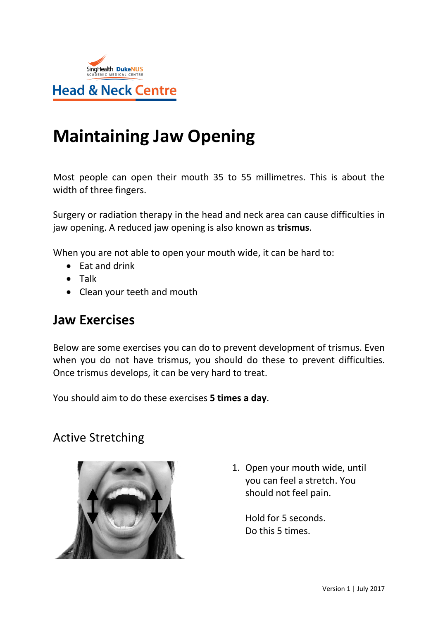

## **Maintaining Jaw Opening**

Most people can open their mouth 35 to 55 millimetres. This is about the width of three fingers.

Surgery or radiation therapy in the head and neck area can cause difficulties in jaw opening. A reduced jaw opening is also known as **trismus**.

When you are not able to open your mouth wide, it can be hard to:

- $\bullet$  Eat and drink
- **•** Talk
- Clean your teeth and mouth

## **Jaw Exercises**

Below are some exercises you can do to prevent development of trismus. Even when you do not have trismus, you should do these to prevent difficulties. Once trismus develops, it can be very hard to treat.

You should aim to do these exercises **5 times a day**.

## Active Stretching



1. Open your mouth wide, until you can feel a stretch. You should not feel pain.

Hold for 5 seconds. Do this 5 times.